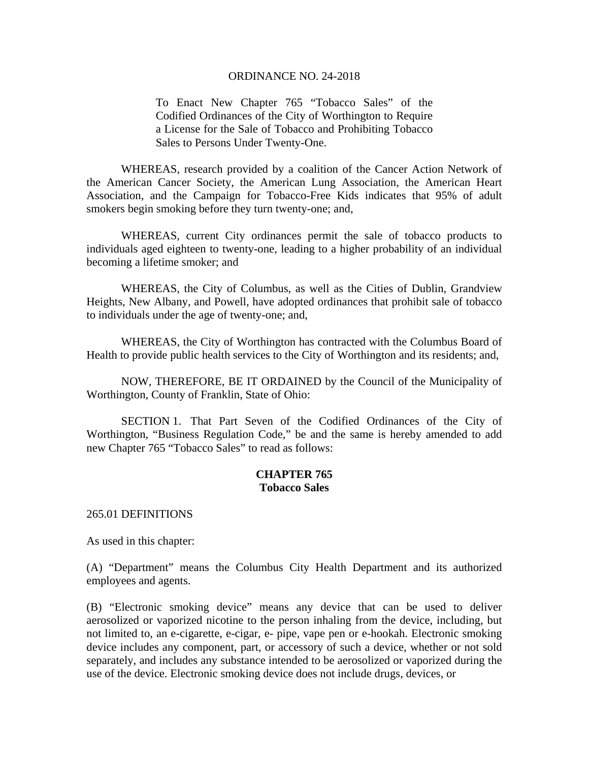To Enact New Chapter 765 "Tobacco Sales" of the Codified Ordinances of the City of Worthington to Require a License for the Sale of Tobacco and Prohibiting Tobacco Sales to Persons Under Twenty-One.

 WHEREAS, research provided by a coalition of the Cancer Action Network of the American Cancer Society, the American Lung Association, the American Heart Association, and the Campaign for Tobacco-Free Kids indicates that 95% of adult smokers begin smoking before they turn twenty-one; and,

WHEREAS, current City ordinances permit the sale of tobacco products to individuals aged eighteen to twenty-one, leading to a higher probability of an individual becoming a lifetime smoker; and

WHEREAS, the City of Columbus, as well as the Cities of Dublin, Grandview Heights, New Albany, and Powell, have adopted ordinances that prohibit sale of tobacco to individuals under the age of twenty-one; and,

WHEREAS, the City of Worthington has contracted with the Columbus Board of Health to provide public health services to the City of Worthington and its residents; and,

 NOW, THEREFORE, BE IT ORDAINED by the Council of the Municipality of Worthington, County of Franklin, State of Ohio:

 SECTION 1. That Part Seven of the Codified Ordinances of the City of Worthington, "Business Regulation Code," be and the same is hereby amended to add new Chapter 765 "Tobacco Sales" to read as follows:

#### **CHAPTER 765 Tobacco Sales**

265.01 DEFINITIONS

As used in this chapter:

(A) "Department" means the Columbus City Health Department and its authorized employees and agents.

(B) "Electronic smoking device" means any device that can be used to deliver aerosolized or vaporized nicotine to the person inhaling from the device, including, but not limited to, an e-cigarette, e-cigar, e- pipe, vape pen or e-hookah. Electronic smoking device includes any component, part, or accessory of such a device, whether or not sold separately, and includes any substance intended to be aerosolized or vaporized during the use of the device. Electronic smoking device does not include drugs, devices, or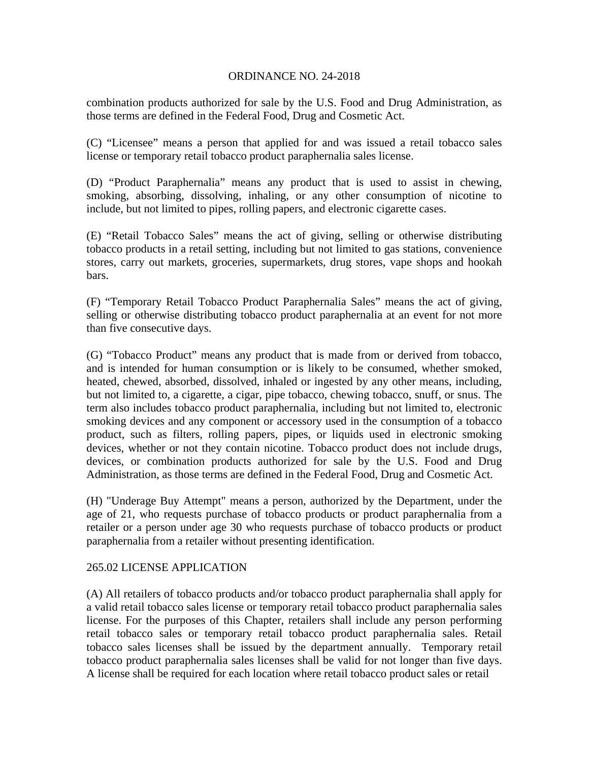combination products authorized for sale by the U.S. Food and Drug Administration, as those terms are defined in the Federal Food, Drug and Cosmetic Act.

(C) "Licensee" means a person that applied for and was issued a retail tobacco sales license or temporary retail tobacco product paraphernalia sales license.

(D) "Product Paraphernalia" means any product that is used to assist in chewing, smoking, absorbing, dissolving, inhaling, or any other consumption of nicotine to include, but not limited to pipes, rolling papers, and electronic cigarette cases.

(E) "Retail Tobacco Sales" means the act of giving, selling or otherwise distributing tobacco products in a retail setting, including but not limited to gas stations, convenience stores, carry out markets, groceries, supermarkets, drug stores, vape shops and hookah bars.

(F) "Temporary Retail Tobacco Product Paraphernalia Sales" means the act of giving, selling or otherwise distributing tobacco product paraphernalia at an event for not more than five consecutive days.

(G) "Tobacco Product" means any product that is made from or derived from tobacco, and is intended for human consumption or is likely to be consumed, whether smoked, heated, chewed, absorbed, dissolved, inhaled or ingested by any other means, including, but not limited to, a cigarette, a cigar, pipe tobacco, chewing tobacco, snuff, or snus. The term also includes tobacco product paraphernalia, including but not limited to, electronic smoking devices and any component or accessory used in the consumption of a tobacco product, such as filters, rolling papers, pipes, or liquids used in electronic smoking devices, whether or not they contain nicotine. Tobacco product does not include drugs, devices, or combination products authorized for sale by the U.S. Food and Drug Administration, as those terms are defined in the Federal Food, Drug and Cosmetic Act.

(H) "Underage Buy Attempt" means a person, authorized by the Department, under the age of 21, who requests purchase of tobacco products or product paraphernalia from a retailer or a person under age 30 who requests purchase of tobacco products or product paraphernalia from a retailer without presenting identification.

## 265.02 LICENSE APPLICATION

(A) All retailers of tobacco products and/or tobacco product paraphernalia shall apply for a valid retail tobacco sales license or temporary retail tobacco product paraphernalia sales license. For the purposes of this Chapter, retailers shall include any person performing retail tobacco sales or temporary retail tobacco product paraphernalia sales. Retail tobacco sales licenses shall be issued by the department annually. Temporary retail tobacco product paraphernalia sales licenses shall be valid for not longer than five days. A license shall be required for each location where retail tobacco product sales or retail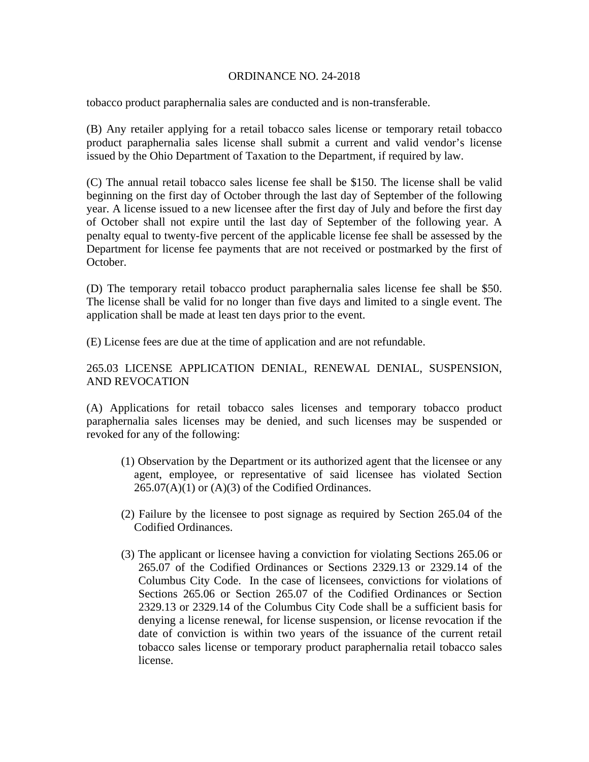tobacco product paraphernalia sales are conducted and is non-transferable.

(B) Any retailer applying for a retail tobacco sales license or temporary retail tobacco product paraphernalia sales license shall submit a current and valid vendor's license issued by the Ohio Department of Taxation to the Department, if required by law.

(C) The annual retail tobacco sales license fee shall be \$150. The license shall be valid beginning on the first day of October through the last day of September of the following year. A license issued to a new licensee after the first day of July and before the first day of October shall not expire until the last day of September of the following year. A penalty equal to twenty-five percent of the applicable license fee shall be assessed by the Department for license fee payments that are not received or postmarked by the first of October.

(D) The temporary retail tobacco product paraphernalia sales license fee shall be \$50. The license shall be valid for no longer than five days and limited to a single event. The application shall be made at least ten days prior to the event.

(E) License fees are due at the time of application and are not refundable.

# 265.03 LICENSE APPLICATION DENIAL, RENEWAL DENIAL, SUSPENSION, AND REVOCATION

(A) Applications for retail tobacco sales licenses and temporary tobacco product paraphernalia sales licenses may be denied, and such licenses may be suspended or revoked for any of the following:

- (1) Observation by the Department or its authorized agent that the licensee or any agent, employee, or representative of said licensee has violated Section  $265.07(A)(1)$  or  $(A)(3)$  of the Codified Ordinances.
- (2) Failure by the licensee to post signage as required by Section 265.04 of the Codified Ordinances.
- (3) The applicant or licensee having a conviction for violating Sections 265.06 or 265.07 of the Codified Ordinances or Sections 2329.13 or 2329.14 of the Columbus City Code. In the case of licensees, convictions for violations of Sections 265.06 or Section 265.07 of the Codified Ordinances or Section 2329.13 or 2329.14 of the Columbus City Code shall be a sufficient basis for denying a license renewal, for license suspension, or license revocation if the date of conviction is within two years of the issuance of the current retail tobacco sales license or temporary product paraphernalia retail tobacco sales license.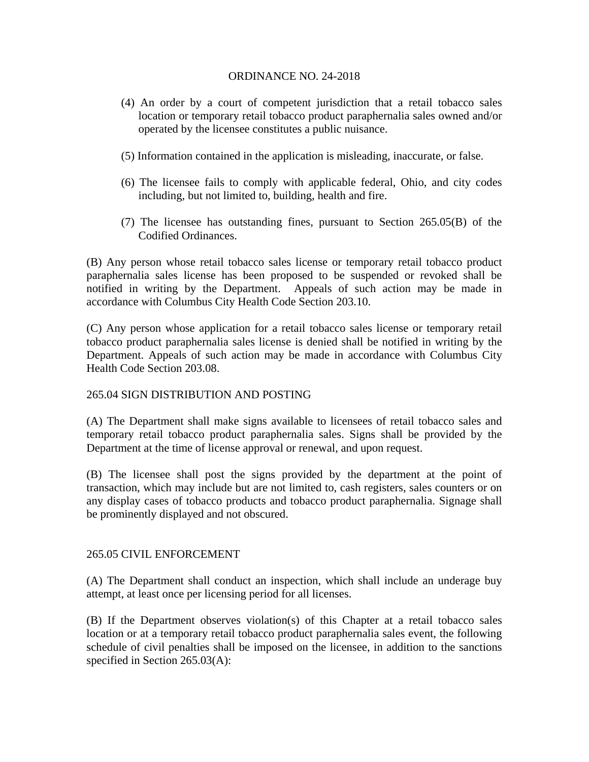- (4) An order by a court of competent jurisdiction that a retail tobacco sales location or temporary retail tobacco product paraphernalia sales owned and/or operated by the licensee constitutes a public nuisance.
- (5) Information contained in the application is misleading, inaccurate, or false.
- (6) The licensee fails to comply with applicable federal, Ohio, and city codes including, but not limited to, building, health and fire.
- (7) The licensee has outstanding fines, pursuant to Section 265.05(B) of the Codified Ordinances.

(B) Any person whose retail tobacco sales license or temporary retail tobacco product paraphernalia sales license has been proposed to be suspended or revoked shall be notified in writing by the Department. Appeals of such action may be made in accordance with Columbus City Health Code Section 203.10.

(C) Any person whose application for a retail tobacco sales license or temporary retail tobacco product paraphernalia sales license is denied shall be notified in writing by the Department. Appeals of such action may be made in accordance with Columbus City Health Code Section 203.08.

## 265.04 SIGN DISTRIBUTION AND POSTING

(A) The Department shall make signs available to licensees of retail tobacco sales and temporary retail tobacco product paraphernalia sales. Signs shall be provided by the Department at the time of license approval or renewal, and upon request.

(B) The licensee shall post the signs provided by the department at the point of transaction, which may include but are not limited to, cash registers, sales counters or on any display cases of tobacco products and tobacco product paraphernalia. Signage shall be prominently displayed and not obscured.

## 265.05 CIVIL ENFORCEMENT

(A) The Department shall conduct an inspection, which shall include an underage buy attempt, at least once per licensing period for all licenses.

(B) If the Department observes violation(s) of this Chapter at a retail tobacco sales location or at a temporary retail tobacco product paraphernalia sales event, the following schedule of civil penalties shall be imposed on the licensee, in addition to the sanctions specified in Section 265.03(A):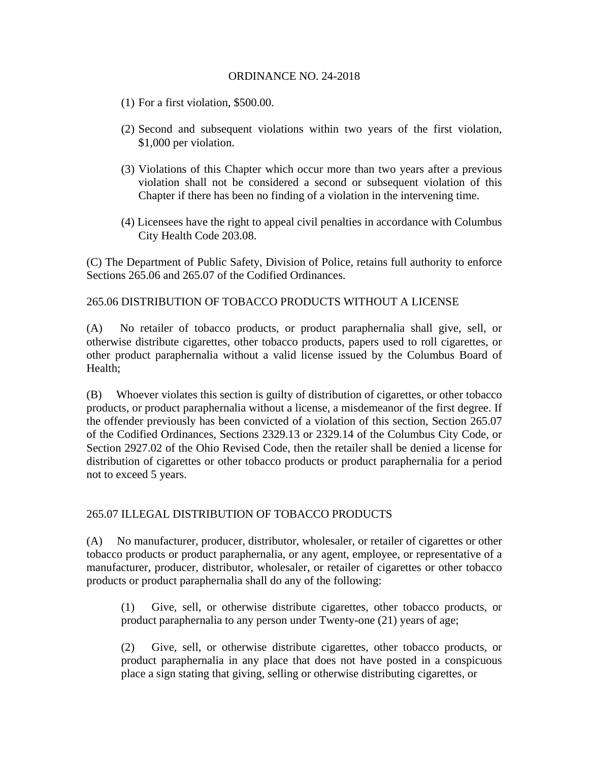- (1) For a first violation, \$500.00.
- (2) Second and subsequent violations within two years of the first violation, \$1,000 per violation.
- (3) Violations of this Chapter which occur more than two years after a previous violation shall not be considered a second or subsequent violation of this Chapter if there has been no finding of a violation in the intervening time.
- (4) Licensees have the right to appeal civil penalties in accordance with Columbus City Health Code 203.08.

(C) The Department of Public Safety, Division of Police, retains full authority to enforce Sections 265.06 and 265.07 of the Codified Ordinances.

# 265.06 DISTRIBUTION OF TOBACCO PRODUCTS WITHOUT A LICENSE

(A) No retailer of tobacco products, or product paraphernalia shall give, sell, or otherwise distribute cigarettes, other tobacco products, papers used to roll cigarettes, or other product paraphernalia without a valid license issued by the Columbus Board of Health;

(B) Whoever violates this section is guilty of distribution of cigarettes, or other tobacco products, or product paraphernalia without a license, a misdemeanor of the first degree. If the offender previously has been convicted of a violation of this section, Section 265.07 of the Codified Ordinances, Sections 2329.13 or 2329.14 of the Columbus City Code, or Section 2927.02 of the Ohio Revised Code, then the retailer shall be denied a license for distribution of cigarettes or other tobacco products or product paraphernalia for a period not to exceed 5 years.

## 265.07 ILLEGAL DISTRIBUTION OF TOBACCO PRODUCTS

(A) No manufacturer, producer, distributor, wholesaler, or retailer of cigarettes or other tobacco products or product paraphernalia, or any agent, employee, or representative of a manufacturer, producer, distributor, wholesaler, or retailer of cigarettes or other tobacco products or product paraphernalia shall do any of the following:

(1) Give, sell, or otherwise distribute cigarettes, other tobacco products, or product paraphernalia to any person under Twenty-one (21) years of age;

(2) Give, sell, or otherwise distribute cigarettes, other tobacco products, or product paraphernalia in any place that does not have posted in a conspicuous place a sign stating that giving, selling or otherwise distributing cigarettes, or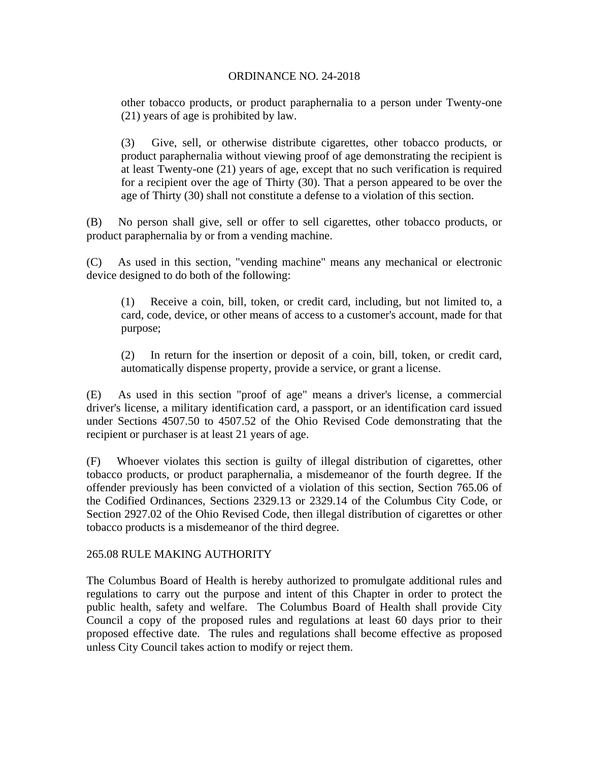other tobacco products, or product paraphernalia to a person under Twenty-one (21) years of age is prohibited by law.

(3) Give, sell, or otherwise distribute cigarettes, other tobacco products, or product paraphernalia without viewing proof of age demonstrating the recipient is at least Twenty-one (21) years of age, except that no such verification is required for a recipient over the age of Thirty (30). That a person appeared to be over the age of Thirty (30) shall not constitute a defense to a violation of this section.

(B) No person shall give, sell or offer to sell cigarettes, other tobacco products, or product paraphernalia by or from a vending machine.

(C) As used in this section, "vending machine" means any mechanical or electronic device designed to do both of the following:

(1) Receive a coin, bill, token, or credit card, including, but not limited to, a card, code, device, or other means of access to a customer's account, made for that purpose;

(2) In return for the insertion or deposit of a coin, bill, token, or credit card, automatically dispense property, provide a service, or grant a license.

(E) As used in this section "proof of age" means a driver's license, a commercial driver's license, a military identification card, a passport, or an identification card issued under Sections 4507.50 to 4507.52 of the Ohio Revised Code demonstrating that the recipient or purchaser is at least 21 years of age.

(F) Whoever violates this section is guilty of illegal distribution of cigarettes, other tobacco products, or product paraphernalia, a misdemeanor of the fourth degree. If the offender previously has been convicted of a violation of this section, Section 765.06 of the Codified Ordinances, Sections 2329.13 or 2329.14 of the Columbus City Code, or Section 2927.02 of the Ohio Revised Code, then illegal distribution of cigarettes or other tobacco products is a misdemeanor of the third degree.

## 265.08 RULE MAKING AUTHORITY

The Columbus Board of Health is hereby authorized to promulgate additional rules and regulations to carry out the purpose and intent of this Chapter in order to protect the public health, safety and welfare. The Columbus Board of Health shall provide City Council a copy of the proposed rules and regulations at least 60 days prior to their proposed effective date. The rules and regulations shall become effective as proposed unless City Council takes action to modify or reject them.